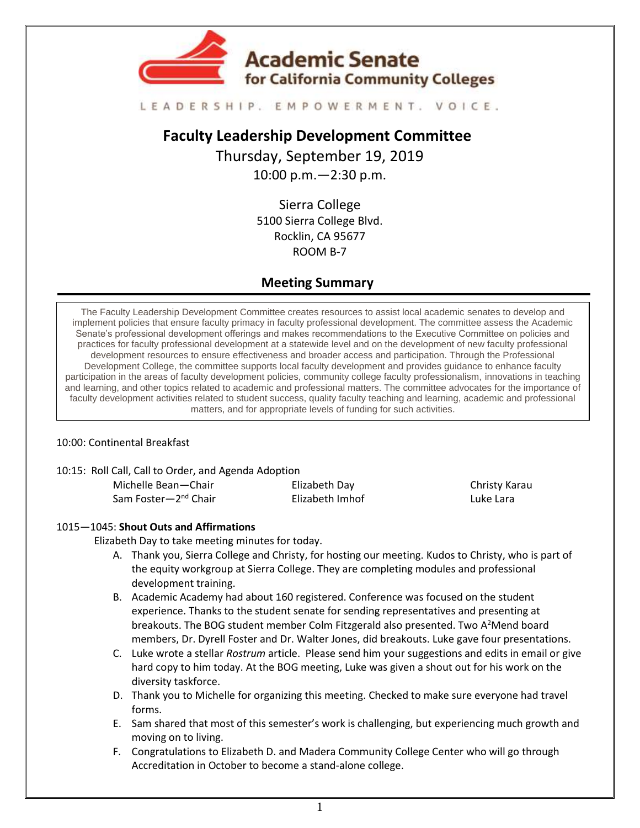

LEADERSHIP, EMPOWERMENT, VOICE,

# **Faculty Leadership Development Committee**

Thursday, September 19, 2019 10:00 p.m.—2:30 p.m.

> [Sierra College](https://www.sierracollege.edu/about-us/visit/maps-and-directions.php) 5100 Sierra College Blvd. Rocklin, CA 95677 ROOM B-7

## **Meeting Summary**

The Faculty Leadership Development Committee creates resources to assist local academic senates to develop and implement policies that ensure faculty primacy in faculty professional development. The committee assess the Academic Senate's professional development offerings and makes recommendations to the Executive Committee on policies and practices for faculty professional development at a statewide level and on the development of new faculty professional development resources to ensure effectiveness and broader access and participation. Through the Professional Development College, the committee supports local faculty development and provides guidance to enhance faculty participation in the areas of faculty development policies, community college faculty professionalism, innovations in teaching and learning, and other topics related to academic and professional matters. The committee advocates for the importance of faculty development activities related to student success, quality faculty teaching and learning, academic and professional matters, and for appropriate levels of funding for such activities.

## 10:00: Continental Breakfast

10:15: Roll Call, Call to Order, and Agenda Adoption

Michelle Bean—Chair Sam Foster—2<sup>nd</sup> Chair Elizabeth Day Elizabeth Imhof Christy Karau Luke Lara

#### 1015—1045: **Shout Outs and Affirmations**

Elizabeth Day to take meeting minutes for today.

- A. Thank you, Sierra College and Christy, for hosting our meeting. Kudos to Christy, who is part of the equity workgroup at Sierra College. They are completing modules and professional development training.
- B. Academic Academy had about 160 registered. Conference was focused on the student experience. Thanks to the student senate for sending representatives and presenting at breakouts. The BOG student member Colm Fitzgerald also presented. Two A <sup>2</sup>Mend board members, Dr. Dyrell Foster and Dr. Walter Jones, did breakouts. Luke gave four presentations.
- C. Luke wrote a stellar *Rostrum* article. Please send him your suggestions and edits in email or give hard copy to him today. At the BOG meeting, Luke was given a shout out for his work on the diversity taskforce.
- D. Thank you to Michelle for organizing this meeting. Checked to make sure everyone had travel forms.
- E. Sam shared that most of this semester's work is challenging, but experiencing much growth and moving on to living.
- F. Congratulations to Elizabeth D. and Madera Community College Center who will go through Accreditation in October to become a stand-alone college.
	- 1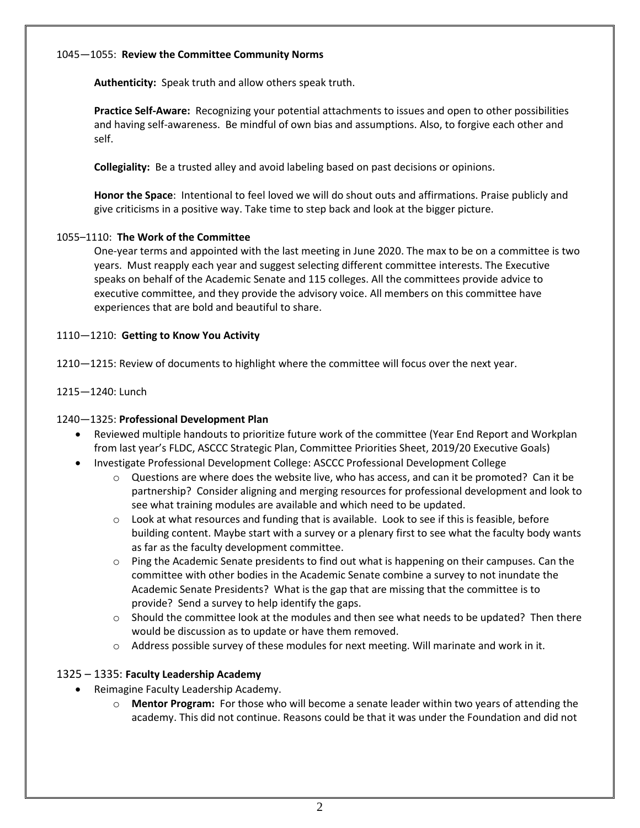#### 1045—1055: **Review the Committee Community Norms**

**Authenticity:** Speak truth and allow others speak truth.

**Practice Self-Aware:** Recognizing your potential attachments to issues and open to other possibilities and having self-awareness. Be mindful of own bias and assumptions. Also, to forgive each other and self.

**Collegiality:** Be a trusted alley and avoid labeling based on past decisions or opinions.

**Honor the Space**: Intentional to feel loved we will do shout outs and affirmations. Praise publicly and give criticisms in a positive way. Take time to step back and look at the bigger picture.

### 1055–1110: **The Work of the Committee**

One-year terms and appointed with the last meeting in June 2020. The max to be on a committee is two years. Must reapply each year and suggest selecting different committee interests. The Executive speaks on behalf of the Academic Senate and 115 colleges. All the committees provide advice to executive committee, and they provide the advisory voice. All members on this committee have experiences that are bold and beautiful to share.

### 1110—1210: **Getting to Know You Activity**

1210—1215: Review of documents to highlight where the committee will focus over the next year.

### 1215—1240: Lunch

## 1240—1325: **Professional Development Plan**

- Reviewed multiple handouts to prioritize future work of the committee (Year End Report and Workplan from last year's FLDC, ASCCC Strategic Plan, Committee Priorities Sheet, 2019/20 Executive Goals)
- Investigat[e Professional Development College:](https://asccc.org/pdc-online-courses) ASCCC Professional Development College
	- $\circ$  Questions are where does the website live, who has access, and can it be promoted? Can it be partnership? Consider aligning and merging resources for professional development and look to see what training modules are available and which need to be updated.
	- $\circ$  Look at what resources and funding that is available. Look to see if this is feasible, before building content. Maybe start with a survey or a plenary first to see what the faculty body wants as far as the faculty development committee.
	- $\circ$  Ping the Academic Senate presidents to find out what is happening on their campuses. Can the committee with other bodies in the Academic Senate combine a survey to not inundate the Academic Senate Presidents? What is the gap that are missing that the committee is to provide? Send a survey to help identify the gaps.
	- $\circ$  Should the committee look at the modules and then see what needs to be updated? Then there would be discussion as to update or have them removed.
	- $\circ$  Address possible survey of these modules for next meeting. Will marinate and work in it.

## 1325 – 1335: **[Faculty Leadership Academy](https://drive.google.com/file/d/1L8HtxXj1wLILjUqXF8g12NUXbQvaXBO9/view?usp=sharing)**

- Reimagine Faculty Leadership Academy.
	- o **Mentor Program:** For those who will become a senate leader within two years of attending the academy. This did not continue. Reasons could be that it was under the Foundation and did not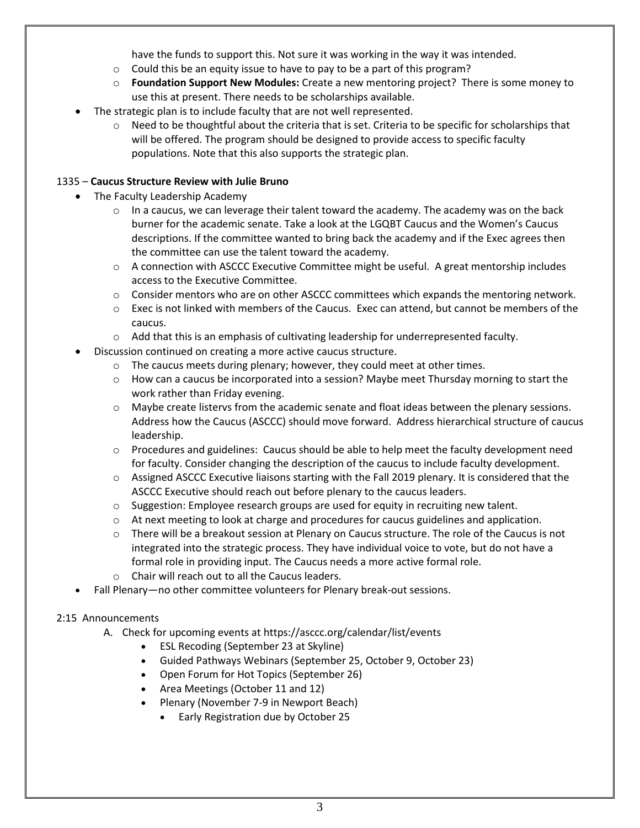have the funds to support this. Not sure it was working in the way it was intended.

- o Could this be an equity issue to have to pay to be a part of this program?
- o **Foundation Support New Modules:** Create a new mentoring project? There is some money to use this at present. There needs to be scholarships available.
- The strategic plan is to include faculty that are not well represented.
	- $\circ$  Need to be thoughtful about the criteria that is set. Criteria to be specific for scholarships that will be offered. The program should be designed to provide access to specific faculty populations. Note that this also supports the strategic plan.

## 1335 – **Caucus Structure Review with Julie Bruno**

- The Faculty Leadership Academy
	- $\circ$  In a caucus, we can leverage their talent toward the academy. The academy was on the back burner for the academic senate. Take a look at the LGQBT Caucus and the Women's Caucus descriptions. If the committee wanted to bring back the academy and if the Exec agrees then the committee can use the talent toward the academy.
	- $\circ$  A connection with ASCCC Executive Committee might be useful. A great mentorship includes access to the Executive Committee.
	- $\circ$  Consider mentors who are on other ASCCC committees which expands the mentoring network.
	- $\circ$  Exec is not linked with members of the Caucus. Exec can attend, but cannot be members of the caucus.
	- $\circ$  Add that this is an emphasis of cultivating leadership for underrepresented faculty.
- Discussion continued on creating a more active caucus structure.
	- $\circ$  The caucus meets during plenary; however, they could meet at other times.
	- $\circ$  How can a caucus be incorporated into a session? Maybe meet Thursday morning to start the work rather than Friday evening.
	- $\circ$  Maybe create listervs from the academic senate and float ideas between the plenary sessions. Address how the Caucus (ASCCC) should move forward. Address hierarchical structure of caucus leadership.
	- $\circ$  Procedures and guidelines: Caucus should be able to help meet the faculty development need for faculty. Consider changing the description of the caucus to include faculty development.
	- o Assigned ASCCC Executive liaisons starting with the Fall 2019 plenary. It is considered that the ASCCC Executive should reach out before plenary to the caucus leaders.
	- $\circ$  Suggestion: Employee research groups are used for equity in recruiting new talent.
	- $\circ$  At next meeting to look at charge and procedures for caucus guidelines and application.
	- o There will be a breakout session at Plenary on Caucus structure. The role of the Caucus is not integrated into the strategic process. They have individual voice to vote, but do not have a formal role in providing input. The Caucus needs a more active formal role.
	- o Chair will reach out to all the Caucus leaders.
- Fall Plenary—no other committee volunteers for Plenary break-out sessions.

## 2:15 Announcements

- A. Check for upcoming events at<https://asccc.org/calendar/list/events>
	- ESL Recoding (September 23 at Skyline)
	- Guided Pathways Webinars (September 25, October 9, October 23)
	- Open Forum for Hot Topics (September 26)
	- Area Meetings (October 11 and 12)
	- Plenary (November 7-9 in Newport Beach)
		- [Early Registration](https://asccc.org/events/2019-11-07-160000-2019-11-09-220000/2019-fall-plenary-session) due by October 25